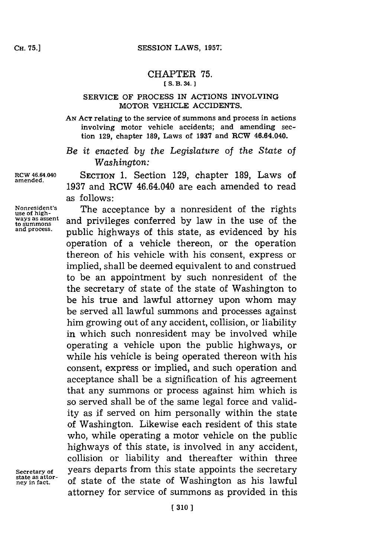## CHAPTER **75. [S. B. 34. 1**

## SERVICE OF **PROCESS IN** ACTIONS INVOLVING MOTOR VEHICLE ACCIDENTS.

**AN ACT** relating to the service of summons and process in actions involving motor vehicle accidents; and amending section **129,** chapter **189,** Laws of **1937** and RCW 46.64.040.

*Be it enacted by the Legislature of the State of Washington:*

RCW **46.64.040** SECTION **1.** Section **129,** chapter **189,** Laws of **1937** and RCW 46.64.040 are each amended to read as follows:

Nonresident's The acceptance by a nonresident of the rights<br>use of high-<br>ways as assent and privileges conferred by law in the use of the ways as assent and privileges conferred by law in the use of the and process.<br>and process. **public bighways of this state** as ovideneed by his **and process.** public highways of this state, as evidenced **by** his operation of a vehicle thereon, or the operation thereon of his vehicle with his consent, express or implied, shall be deemed equivalent to and construed to be an appointment **by** such nonresident of the the secretary of state of the state of Washington to be his true and lawful attorney upon whom may be served all lawful summons and processes against him growing out of any accident, collision, or liability in which such nonresident may be involved while operating a vehicle upon the public highways, or while his vehicle is being operated thereon with his consent, express or implied, and such operation and acceptance shall be a signification of his agreement that any summons or process against him which is so served shall be of the same legal force and validity as if served on him personally within the state of Washington. Likewise each resident of this state who, while operating a motor vehicle on the public highways of this state, is involved in any accident, collision or liability and thereafter within three **Secretary of** years departs from this state appoints the secretary **ney in fact,** of state of the state of Washington as his lawful attorney for service of summons as provided in this

**amended.**

**state as attor-**